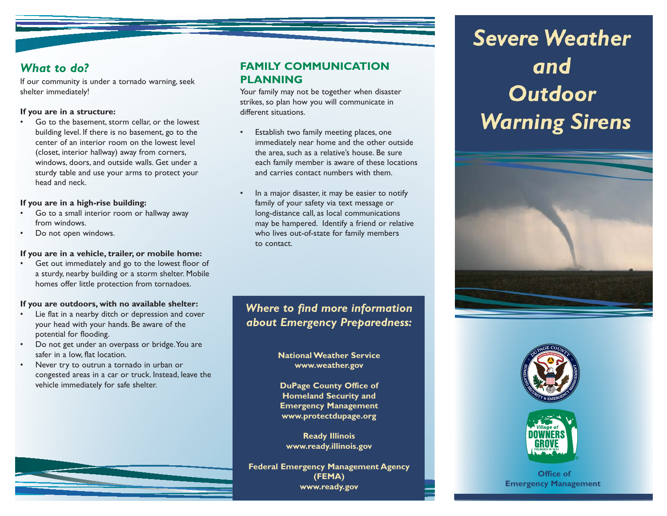# *What to do?*

If our community is under a tornado warning, seek shelter immediately!

#### **If you are in a structure:**

• Go to the basement, storm cellar, or the lowest building level. If there is no basement, go to the center of an interior room on the lowest level (closet, interior hallway) away from corners, windows, doors, and outside walls. Get under a sturdy table and use your arms to protect your head and neck.

#### **If you are in a high-rise building:**

- Go to a small interior room or hallway away from windows.
- •Do not open windows.

#### **If you are in a vehicle, trailer, or mobile home:**

• Get out immediately and go to the lowest floor of a sturdy, nearby building or a storm shelter. Mobile homes offer little protection from tornadoes.

### **If you are outdoors, with no available shelter:**

- • Lie flat in a nearby ditch or depression and cover your head with your hands. Be aware of the potential for flooding.
- Do not get under an overpass or bridge.You are safer in a low, flat location.
- • Never try to outrun a tornado in urban or congested areas in a car or truck. Instead, leave the vehicle immediately for safe shelter.

## **PLANNING** Your family may not be together when disaster strikes, so plan how you will communicate in

different situations.

 Establish two family meeting places, one immediately near home and the other outside the area, such as a relative's house. Be sure each family member is aware of these locations and carries contact numbers with them.

**FAMILY COMMUNICATION**

 In a major disaster, it may be easier to notify family of your safety via text message or long-distance call, as local communications may be hampered. Identify a friend or relative who lives out-of-state for family members to contact.

## *Where to find more information about Emergency Preparedness:*

### **National Weather Service www.weather.gov**

**DuPage County Office of Homeland Security and Emergency Management www.protectdupage.org**

**Ready Illinois www.ready.illinois.gov**

**Federal Emergency Management Agency (FEMA) www.ready.gov**

# **Severe Weather** and Outdoor **Warning Sirens**







 **Office of Emergency Management**